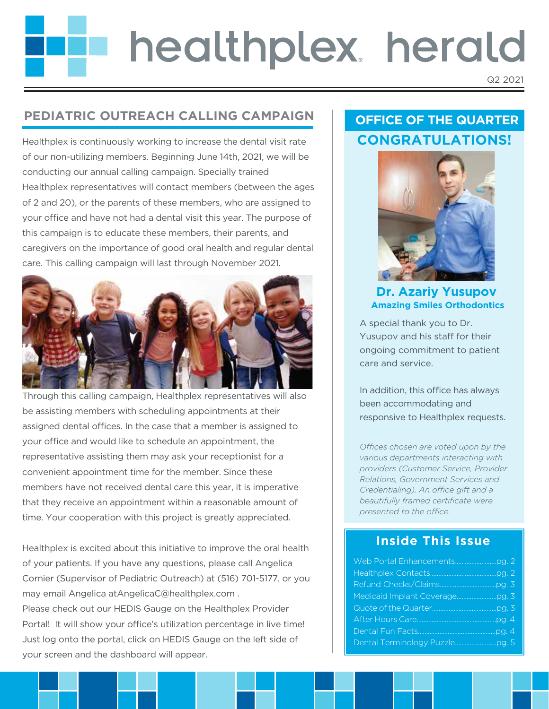# healthplex herald

Q2 2021

# **PEDIATRIC OUTREACH CALLING CAMPAIGN**

Healthplex is continuously working to increase the dental visit rate of our non-utilizing members. Beginning June 14th, 2021, we will be conducting our annual calling campaign. Specially trained Healthplex representatives will contact members (between the ages of 2 and 20), or the parents of these members, who are assigned to your office and have not had a dental visit this year. The purpose of this campaign is to educate these members, their parents, and caregivers on the importance of good oral health and regular dental care. This calling campaign will last through November 2021.



Through this calling campaign, Healthplex representatives will also be assisting members with scheduling appointments at their assigned dental offices. In the case that a member is assigned to your office and would like to schedule an appointment, the representative assisting them may ask your receptionist for a convenient appointment time for the member. Since these members have not received dental care this year, it is imperative that they receive an appointment within a reasonable amount of time. Your cooperation with this project is greatly appreciated.

Healthplex is excited about this initiative to improve the oral health of your patients. If you have any questions, please call Angelica Cornier (Supervisor of Pediatric Outreach) at (516) 701-5177, or you may email Angelica atAngelicaC@healthplex.com . Please check out our HEDIS Gauge on the Healthplex Provider Portal! It will show your office's utilization percentage in live time! Just log onto the portal, click on HEDIS Gauge on the left side of your screen and the dashboard will appear.

# **OFFICE OF THE QUARTER CONGRATULATIONS!**



**Dr. Azariy Yusupov Amazing Smiles Orthodontics**

A special thank you to Dr. Yusupov and his staff for their ongoing commitment to patient care and service.

In addition, this office has always been accommodating and responsive to Healthplex requests.

Offices chosen are voted upon by the *various departments interacting with providers (Customer Service, Provider Relations, Government Services and Credentialing). An office gift and a beautifully framed certificate were presented to the office.* 

# **Inside This Issue**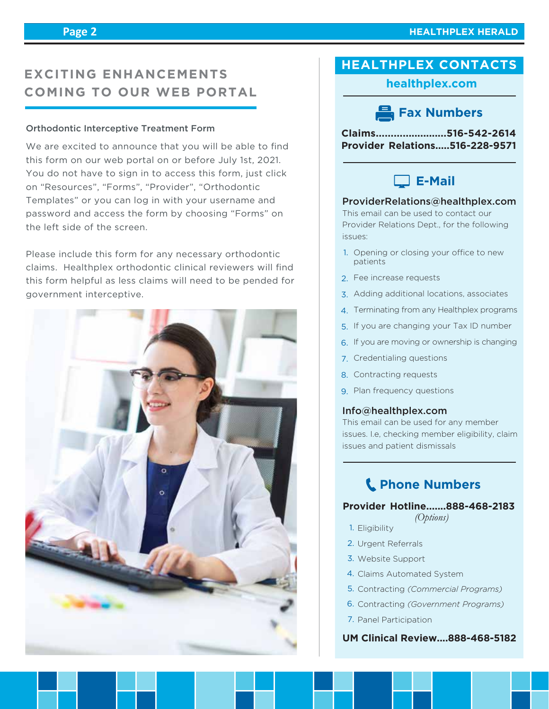# **EXCITING ENHANCEMENTS COMING TO OUR WEB PORTAL**

#### Orthodontic Interceptive Treatment Form

We are excited to announce that you will be able to find this form on our web portal on or before July 1st, 2021. You do not have to sign in to access this form, just click on "Resources", "Forms", "Provider", "Orthodontic Templates" or you can log in with your username and password and access the form by choosing "Forms" on the left side of the screen.

Please include this form for any necessary orthodontic claims. Healthplex orthodontic clinical reviewers will find this form helpful as less claims will need to be pended for government interceptive.



## **healthplex.com**

# **Fax Numbers**

**Claims........................516-542-2614 Provider Relations.....516-228-9571**



#### ProviderRelations@healthplex.com

This email can be used to contact our Provider Relations Dept., for the following issues:

- 1. Opening or closing your office to new patients
- 2. Fee increase requests
- 3. Adding additional locations, associates
- Terminating from any Healthplex programs 4.
- 5. If you are changing your Tax ID number
- 6. If you are moving or ownership is changing
- 7. Credentialing questions
- 8. Contracting requests
- 9. Plan frequency questions

#### Info@healthplex.com

This email can be used for any member issues. I.e, checking member eligibility, claim issues and patient dismissals

# **Phone Numbers**

#### **Provider Hotline.......888-468-2183**

- *(Options)*
- 1. Eligibility
- 2. Urgent Referrals
- Website Support 3.
- 4. Claims Automated System
- 5. Contracting (Commercial Programs)
- 6. Contracting *(Government Programs)*
- 7. Panel Participation

### **UM Clinical Review....888-468-5182**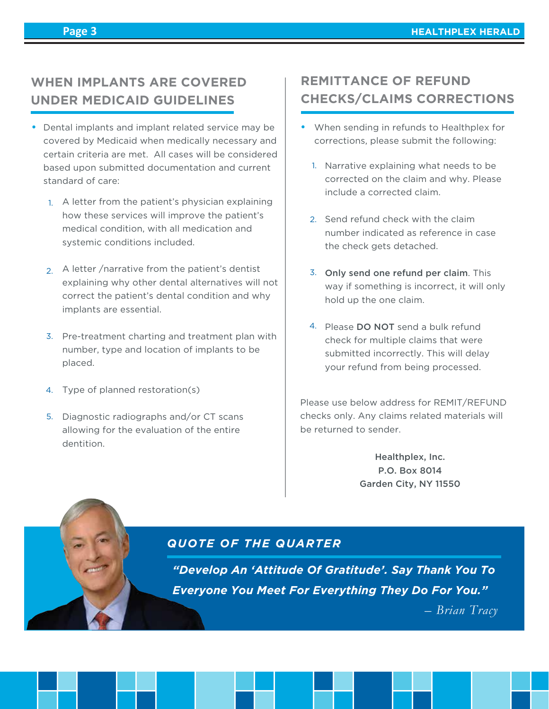# **WHEN IMPLANTS ARE COVERED UNDER MEDICAID GUIDELINES**

- Dental implants and implant related service may be covered by Medicaid when medically necessary and certain criteria are met. All cases will be considered based upon submitted documentation and current standard of care:
	- 1. A letter from the patient's physician explaining how these services will improve the patient's medical condition, with all medication and systemic conditions included.
	- 2. A letter / narrative from the patient's dentist explaining why other dental alternatives will not correct the patient's dental condition and why implants are essential.
	- 3. Pre-treatment charting and treatment plan with number, type and location of implants to be placed.
	- 4. Type of planned restoration(s)
	- 5. Diagnostic radiographs and/or CT scans allowing for the evaluation of the entire dentition.

# **REMITTANCE OF REFUND CHECKS/CLAIMS CORRECTIONS**

- When sending in refunds to Healthplex for corrections, please submit the following:
	- 1. Narrative explaining what needs to be corrected on the claim and why. Please include a corrected claim.
	- 2. Send refund check with the claim number indicated as reference in case the check gets detached.
	- 3. Only send one refund per claim. This way if something is incorrect, it will only hold up the one claim.
	- 4. Please DO NOT send a bulk refund check for multiple claims that were submitted incorrectly. This will delay your refund from being processed.

Please use below address for REMIT/REFUND checks only. Any claims related materials will be returned to sender.

> Healthplex, Inc. P.O. Box 8014 Garden City, NY 11550

## *QUOTE OF THE QUARTER*

*"Develop An 'Attitude Of Gratitude'. Say Thank You To Everyone You Meet For Everything They Do For You."*

 *– Brian Tracy*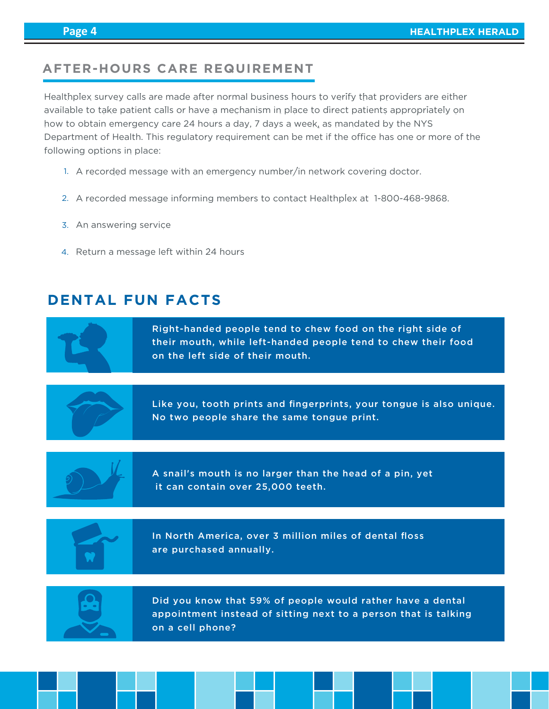# **AFTER-HOURS CARE REQUIREMENT**

Healthplex survey calls are made after normal business hours to verify that providers are either available to take patient calls or have a mechanism in place to direct patients appropriately on how to obtain emergency care 24 hours a day, 7 days a week, as mandated by the NYS Department of Health. This regulatory requirement can be met if the office has one or more of the following options in place:

- 1. A recorded message with an emergency number/in network covering doctor.
- 2. A recorded message informing members to contact Healthplex at 1-800-468-9868.
- 3. An answering service
- 4. Return a message left within 24 hours

# **DENTAL FUN FACTS**

Right-handed people tend to chew food on the right side of their mouth, while left-handed people tend to chew their food on the left side of their mouth.

Like you, tooth prints and fingerprints, your tongue is also unique. No two people share the same tongue print.



A snail's mouth is no larger than the head of a pin, yet it can contain over 25,000 teeth.



In North America, over 3 million miles of dental floss are purchased annually.



Did you know that 59% of people would rather have a dental appointment instead of sitting next to a person that is talking on a cell phone?